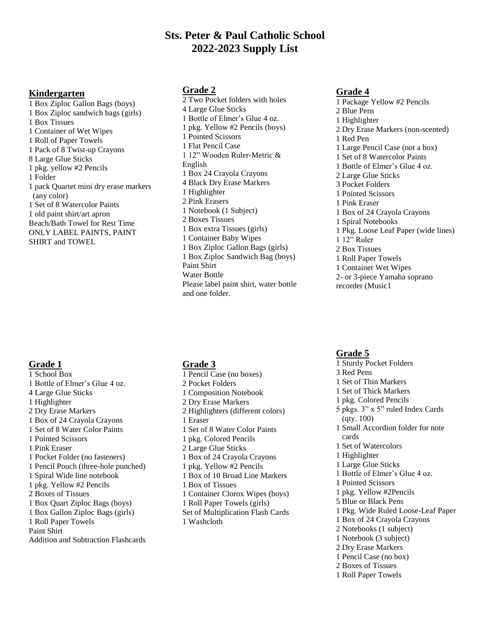## **Sts. Peter & Paul Catholic School 2022-2023 Supply List**

#### **Kindergarten**

1 Box Ziploc Gallon Bags (boys) 1 Box Ziploc sandwich bags (girls) 1 Box Tissues 1 Container of Wet Wipes 1 Roll of Paper Towels 1 Pack of 8 Twist-up Crayons 8 Large Glue Sticks 1 pkg. yellow #2 Pencils 1 Folder 1 pack Quartet mini dry erase markers (any color) 1 Set of 8 Watercolor Paints 1 old paint shirt/art apron Beach/Bath Towel for Rest Time ONLY LABEL PAINTS, PAINT SHIRT and TOWEL

#### **Grade 1**

1 School Box 1 Bottle of Elmer's Glue 4 oz. 4 Large Glue Sticks 1 Highlighter 2 Dry Erase Markers 1 Box of 24 Crayola Crayons 1 Set of 8 Water Color Paints 1 Pointed Scissors 1 Pink Eraser 1 Pocket Folder (no fasteners) 1 Pencil Pouch (three-hole punched) 1 Spiral Wide line notebook 1 pkg. Yellow #2 Pencils 2 Boxes of Tissues 1 Box Quart Ziploc Bags (boys) 1 Box Gallon Ziploc Bags (girls) 1 Roll Paper Towels Paint Shirt Addition and Subtraction Flashcards

### **Grade 2**

2 Two Pocket folders with holes 4 Large Glue Sticks 1 Bottle of Elmer's Glue 4 oz. 1 pkg. Yellow #2 Pencils (boys) 1 Pointed Scissors 1 Flat Pencil Case 1 12" Wooden Ruler-Metric & English 1 Box 24 Crayola Crayons 4 Black Dry Erase Markers 1 Highlighter 2 Pink Erasers 1 Notebook (1 Subject) 2 Boxes Tissues 1 Box extra Tissues (girls) 1 Container Baby Wipes 1 Box Ziploc Gallon Bags (girls) 1 Box Ziploc Sandwich Bag (boys) Paint Shirt Water Bottle Please label paint shirt, water bottle and one folder.

### **Grade 3**

1 Pencil Case (no boxes) 2 Pocket Folders 1 Composition Notebook 2 Dry Erase Markers 2 Highlighters (different colors) 1 Eraser 1 Set of 8 Water Color Paints 1 pkg. Colored Pencils 2 Large Glue Sticks 1 Box of 24 Crayola Crayons 1 pkg. Yellow #2 Pencils 1 Box of 10 Broad Line Markers 1 Box of Tissues 1 Container Clorox Wipes (boys) 1 Roll Paper Towels (girls) Set of Multiplication Flash Cards 1 Washcloth

## **Grade 4**

1 Package Yellow #2 Pencils 2 Blue Pens 1 Highlighter 2 Dry Erase Markers (non-scented) 1 Red Pen 1 Large Pencil Case (not a box) 1 Set of 8 Watercolor Paints 1 Bottle of Elmer's Glue 4 oz. 2 Large Glue Sticks 3 Pocket Folders 1 Pointed Scissors 1 Pink Eraser 1 Box of 24 Crayola Crayons 1 Spiral Notebooks 1 Pkg. Loose Leaf Paper (wide lines) 1 12" Ruler 2 Box Tissues 1 Roll Paper Towels 1 Container Wet Wipes 2- or 3-piece Yamaha soprano recorder (Music1

#### **Grade 5**

1 Sturdy Pocket Folders 3 Red Pens 1 Set of Thin Markers 1 Set of Thick Markers 1 pkg. Colored Pencils 5 pkgs. 3" x 5" ruled Index Cards (qty. 100) 1 Small Accordion folder for note cards 1 Set of Watercolors 1 Highlighter 1 Large Glue Sticks 1 Bottle of Elmer's Glue 4 oz. 1 Pointed Scissors 1 pkg. Yellow #2Pencils 5 Blue or Black Pens 1 Pkg. Wide Ruled Loose-Leaf Paper 1 Box of 24 Crayola Crayons 2 Notebooks (1 subject) 1 Notebook (3 subject) 2 Dry Erase Markers 1 Pencil Case (no box) 2 Boxes of Tissues 1 Roll Paper Towels